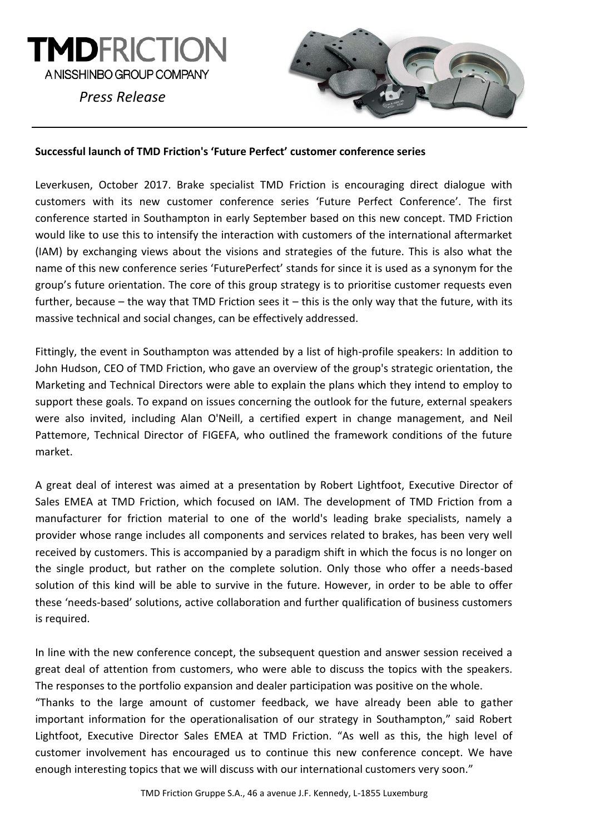

*Press Release*



### **Successful launch of TMD Friction's 'Future Perfect' customer conference series**

Leverkusen, October 2017. Brake specialist TMD Friction is encouraging direct dialogue with customers with its new customer conference series 'Future Perfect Conference'. The first conference started in Southampton in early September based on this new concept. TMD Friction would like to use this to intensify the interaction with customers of the international aftermarket (IAM) by exchanging views about the visions and strategies of the future. This is also what the name of this new conference series 'FuturePerfect' stands for since it is used as a synonym for the group's future orientation. The core of this group strategy is to prioritise customer requests even further, because – the way that TMD Friction sees it – this is the only way that the future, with its massive technical and social changes, can be effectively addressed.

Fittingly, the event in Southampton was attended by a list of high-profile speakers: In addition to John Hudson, CEO of TMD Friction, who gave an overview of the group's strategic orientation, the Marketing and Technical Directors were able to explain the plans which they intend to employ to support these goals. To expand on issues concerning the outlook for the future, external speakers were also invited, including Alan O'Neill, a certified expert in change management, and Neil Pattemore, Technical Director of FIGEFA, who outlined the framework conditions of the future market.

A great deal of interest was aimed at a presentation by Robert Lightfoot, Executive Director of Sales EMEA at TMD Friction, which focused on IAM. The development of TMD Friction from a manufacturer for friction material to one of the world's leading brake specialists, namely a provider whose range includes all components and services related to brakes, has been very well received by customers. This is accompanied by a paradigm shift in which the focus is no longer on the single product, but rather on the complete solution. Only those who offer a needs-based solution of this kind will be able to survive in the future. However, in order to be able to offer these 'needs-based' solutions, active collaboration and further qualification of business customers is required.

In line with the new conference concept, the subsequent question and answer session received a great deal of attention from customers, who were able to discuss the topics with the speakers. The responses to the portfolio expansion and dealer participation was positive on the whole.

"Thanks to the large amount of customer feedback, we have already been able to gather important information for the operationalisation of our strategy in Southampton," said Robert Lightfoot, Executive Director Sales EMEA at TMD Friction. "As well as this, the high level of customer involvement has encouraged us to continue this new conference concept. We have enough interesting topics that we will discuss with our international customers very soon."